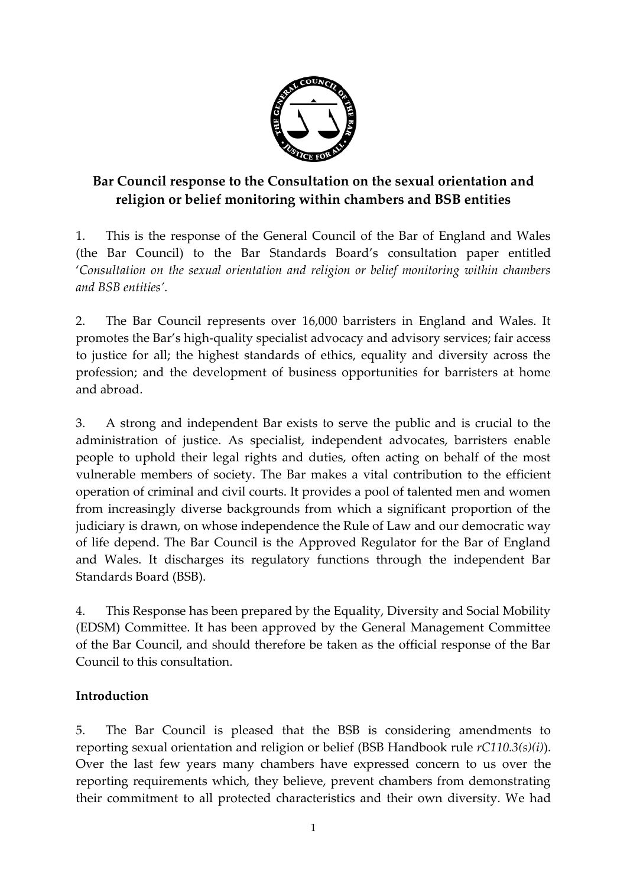

# **Bar Council response to the Consultation on the sexual orientation and religion or belief monitoring within chambers and BSB entities**

1. This is the response of the General Council of the Bar of England and Wales (the Bar Council) to the Bar Standards Board's consultation paper entitled '*Consultation on the sexual orientation and religion or belief monitoring within chambers and BSB entities'*.

2. The Bar Council represents over 16,000 barristers in England and Wales. It promotes the Bar's high-quality specialist advocacy and advisory services; fair access to justice for all; the highest standards of ethics, equality and diversity across the profession; and the development of business opportunities for barristers at home and abroad.

3. A strong and independent Bar exists to serve the public and is crucial to the administration of justice. As specialist, independent advocates, barristers enable people to uphold their legal rights and duties, often acting on behalf of the most vulnerable members of society. The Bar makes a vital contribution to the efficient operation of criminal and civil courts. It provides a pool of talented men and women from increasingly diverse backgrounds from which a significant proportion of the judiciary is drawn, on whose independence the Rule of Law and our democratic way of life depend. The Bar Council is the Approved Regulator for the Bar of England and Wales. It discharges its regulatory functions through the independent Bar Standards Board (BSB).

4. This Response has been prepared by the Equality, Diversity and Social Mobility (EDSM) Committee. It has been approved by the General Management Committee of the Bar Council, and should therefore be taken as the official response of the Bar Council to this consultation.

## **Introduction**

5. The Bar Council is pleased that the BSB is considering amendments to reporting sexual orientation and religion or belief (BSB Handbook rule *rC110.3(s)(i)*). Over the last few years many chambers have expressed concern to us over the reporting requirements which, they believe, prevent chambers from demonstrating their commitment to all protected characteristics and their own diversity. We had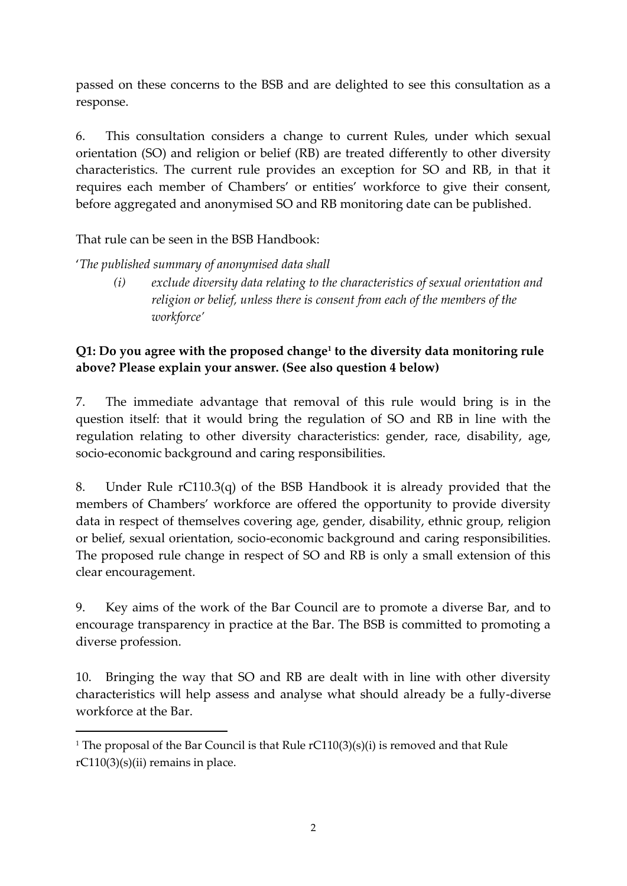passed on these concerns to the BSB and are delighted to see this consultation as a response.

6. This consultation considers a change to current Rules, under which sexual orientation (SO) and religion or belief (RB) are treated differently to other diversity characteristics. The current rule provides an exception for SO and RB, in that it requires each member of Chambers' or entities' workforce to give their consent, before aggregated and anonymised SO and RB monitoring date can be published.

That rule can be seen in the BSB Handbook:

**.** 

'*The published summary of anonymised data shall*

*(i) exclude diversity data relating to the characteristics of sexual orientation and religion or belief, unless there is consent from each of the members of the workforce'*

## **Q1: Do you agree with the proposed change<sup>1</sup> to the diversity data monitoring rule above? Please explain your answer. (See also question 4 below)**

7. The immediate advantage that removal of this rule would bring is in the question itself: that it would bring the regulation of SO and RB in line with the regulation relating to other diversity characteristics: gender, race, disability, age, socio-economic background and caring responsibilities.

8. Under Rule rC110.3(q) of the BSB Handbook it is already provided that the members of Chambers' workforce are offered the opportunity to provide diversity data in respect of themselves covering age, gender, disability, ethnic group, religion or belief, sexual orientation, socio-economic background and caring responsibilities. The proposed rule change in respect of SO and RB is only a small extension of this clear encouragement.

9. Key aims of the work of the Bar Council are to promote a diverse Bar, and to encourage transparency in practice at the Bar. The BSB is committed to promoting a diverse profession.

10. Bringing the way that SO and RB are dealt with in line with other diversity characteristics will help assess and analyse what should already be a fully-diverse workforce at the Bar.

<sup>&</sup>lt;sup>1</sup> The proposal of the Bar Council is that Rule  $rC110(3)(s)(i)$  is removed and that Rule  $rC110(3)(s)(ii)$  remains in place.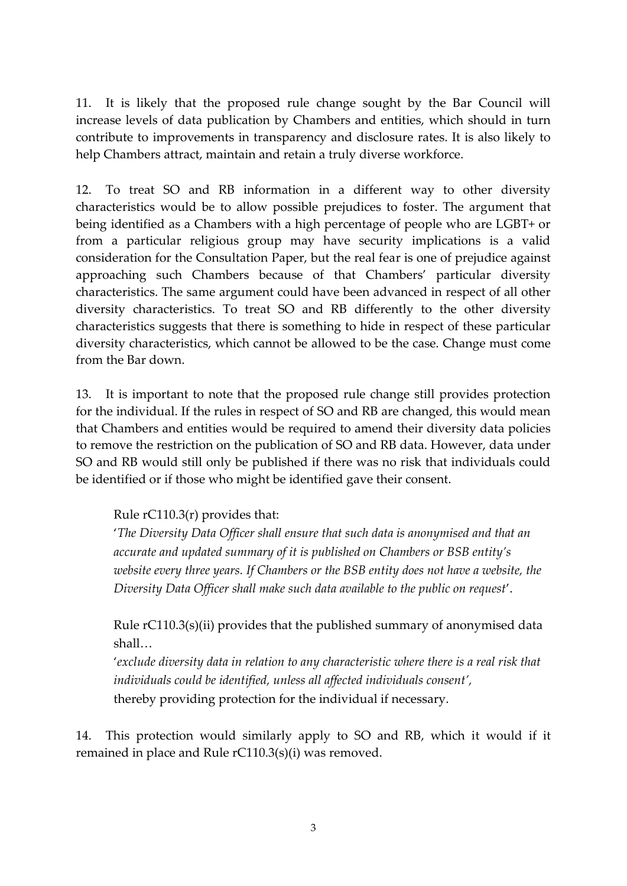11. It is likely that the proposed rule change sought by the Bar Council will increase levels of data publication by Chambers and entities, which should in turn contribute to improvements in transparency and disclosure rates. It is also likely to help Chambers attract, maintain and retain a truly diverse workforce.

12. To treat SO and RB information in a different way to other diversity characteristics would be to allow possible prejudices to foster. The argument that being identified as a Chambers with a high percentage of people who are LGBT+ or from a particular religious group may have security implications is a valid consideration for the Consultation Paper, but the real fear is one of prejudice against approaching such Chambers because of that Chambers' particular diversity characteristics. The same argument could have been advanced in respect of all other diversity characteristics. To treat SO and RB differently to the other diversity characteristics suggests that there is something to hide in respect of these particular diversity characteristics, which cannot be allowed to be the case. Change must come from the Bar down.

13. It is important to note that the proposed rule change still provides protection for the individual. If the rules in respect of SO and RB are changed, this would mean that Chambers and entities would be required to amend their diversity data policies to remove the restriction on the publication of SO and RB data. However, data under SO and RB would still only be published if there was no risk that individuals could be identified or if those who might be identified gave their consent.

#### Rule rC110.3(r) provides that:

'*The Diversity Data Officer shall ensure that such data is anonymised and that an accurate and updated summary of it is published on Chambers or BSB entity's website every three years. If Chambers or the BSB entity does not have a website, the Diversity Data Officer shall make such data available to the public on request*'.

Rule rC110.3(s)(ii) provides that the published summary of anonymised data shall…

'*exclude diversity data in relation to any characteristic where there is a real risk that individuals could be identified, unless all affected individuals consent',* thereby providing protection for the individual if necessary.

14. This protection would similarly apply to SO and RB, which it would if it remained in place and Rule rC110.3(s)(i) was removed.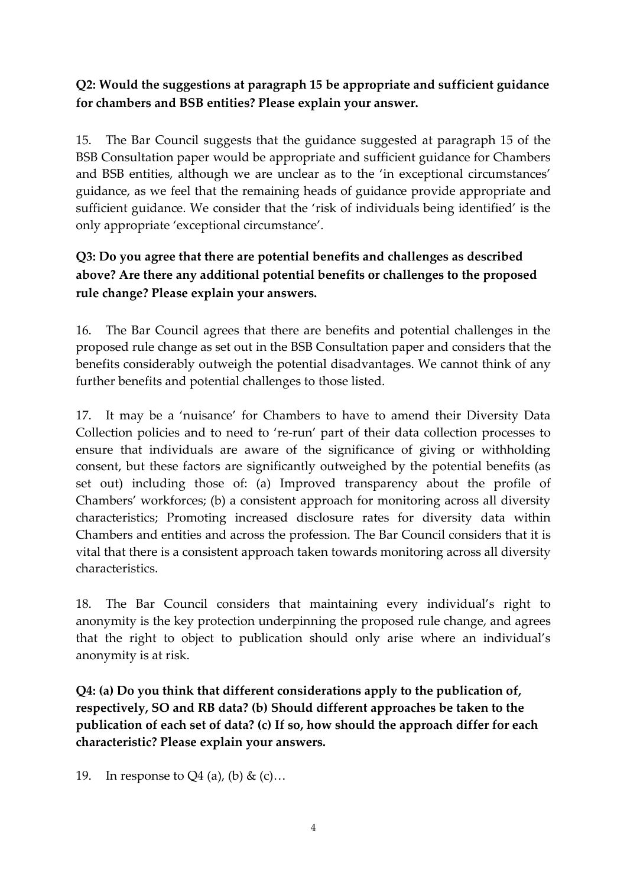## **Q2: Would the suggestions at paragraph 15 be appropriate and sufficient guidance for chambers and BSB entities? Please explain your answer.**

15. The Bar Council suggests that the guidance suggested at paragraph 15 of the BSB Consultation paper would be appropriate and sufficient guidance for Chambers and BSB entities, although we are unclear as to the 'in exceptional circumstances' guidance, as we feel that the remaining heads of guidance provide appropriate and sufficient guidance. We consider that the 'risk of individuals being identified' is the only appropriate 'exceptional circumstance'.

# **Q3: Do you agree that there are potential benefits and challenges as described above? Are there any additional potential benefits or challenges to the proposed rule change? Please explain your answers.**

16. The Bar Council agrees that there are benefits and potential challenges in the proposed rule change as set out in the BSB Consultation paper and considers that the benefits considerably outweigh the potential disadvantages. We cannot think of any further benefits and potential challenges to those listed.

17. It may be a 'nuisance' for Chambers to have to amend their Diversity Data Collection policies and to need to 're-run' part of their data collection processes to ensure that individuals are aware of the significance of giving or withholding consent, but these factors are significantly outweighed by the potential benefits (as set out) including those of: (a) Improved transparency about the profile of Chambers' workforces; (b) a consistent approach for monitoring across all diversity characteristics; Promoting increased disclosure rates for diversity data within Chambers and entities and across the profession. The Bar Council considers that it is vital that there is a consistent approach taken towards monitoring across all diversity characteristics.

18. The Bar Council considers that maintaining every individual's right to anonymity is the key protection underpinning the proposed rule change, and agrees that the right to object to publication should only arise where an individual's anonymity is at risk.

**Q4: (a) Do you think that different considerations apply to the publication of, respectively, SO and RB data? (b) Should different approaches be taken to the publication of each set of data? (c) If so, how should the approach differ for each characteristic? Please explain your answers.**

19. In response to  $Q_4$  (a), (b) & (c)...